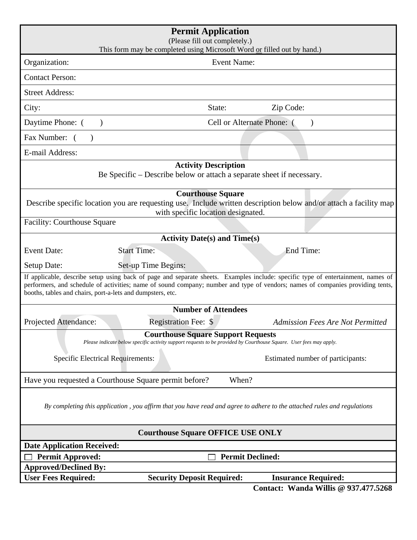| <b>Permit Application</b><br>(Please fill out completely.)<br>This form may be completed using Microsoft Word or filled out by hand.)                                                                                                                                                                                            |                                           |                                         |
|----------------------------------------------------------------------------------------------------------------------------------------------------------------------------------------------------------------------------------------------------------------------------------------------------------------------------------|-------------------------------------------|-----------------------------------------|
| Organization:                                                                                                                                                                                                                                                                                                                    | <b>Event Name:</b>                        |                                         |
| <b>Contact Person:</b>                                                                                                                                                                                                                                                                                                           |                                           |                                         |
| <b>Street Address:</b>                                                                                                                                                                                                                                                                                                           |                                           |                                         |
| City:                                                                                                                                                                                                                                                                                                                            | State:                                    | Zip Code:                               |
| Cell or Alternate Phone: (<br>Daytime Phone: (<br>$\lambda$<br>$\lambda$                                                                                                                                                                                                                                                         |                                           |                                         |
| Fax Number: (                                                                                                                                                                                                                                                                                                                    |                                           |                                         |
| E-mail Address:                                                                                                                                                                                                                                                                                                                  |                                           |                                         |
| <b>Activity Description</b><br>Be Specific – Describe below or attach a separate sheet if necessary.                                                                                                                                                                                                                             |                                           |                                         |
| <b>Courthouse Square</b><br>Describe specific location you are requesting use. Include written description below and/or attach a facility map<br>with specific location designated.                                                                                                                                              |                                           |                                         |
| <b>Facility: Courthouse Square</b>                                                                                                                                                                                                                                                                                               |                                           |                                         |
|                                                                                                                                                                                                                                                                                                                                  | <b>Activity Date(s) and Time(s)</b>       |                                         |
| <b>Event Date:</b><br><b>Start Time:</b>                                                                                                                                                                                                                                                                                         |                                           | End Time:                               |
| Setup Date:<br>Set-up Time Begins:                                                                                                                                                                                                                                                                                               |                                           |                                         |
| If applicable, describe setup using back of page and separate sheets. Examples include: specific type of entertainment, names of<br>performers, and schedule of activities; name of sound company; number and type of vendors; names of companies providing tents,<br>booths, tables and chairs, port-a-lets and dumpsters, etc. |                                           |                                         |
| <b>Number of Attendees</b>                                                                                                                                                                                                                                                                                                       |                                           |                                         |
| <b>Registration Fee: \$</b><br>Projected Attendance:                                                                                                                                                                                                                                                                             |                                           | <b>Admission Fees Are Not Permitted</b> |
| Please indicate below specific activity support requests to be provided by Courthouse Square. User fees may apply.                                                                                                                                                                                                               | <b>Courthouse Square Support Requests</b> |                                         |
| <b>Specific Electrical Requirements:</b>                                                                                                                                                                                                                                                                                         |                                           | Estimated number of participants:       |
| Have you requested a Courthouse Square permit before?<br>When?                                                                                                                                                                                                                                                                   |                                           |                                         |
| By completing this application, you affirm that you have read and agree to adhere to the attached rules and regulations                                                                                                                                                                                                          |                                           |                                         |
| <b>Courthouse Square OFFICE USE ONLY</b>                                                                                                                                                                                                                                                                                         |                                           |                                         |
| <b>Date Application Received:</b>                                                                                                                                                                                                                                                                                                |                                           |                                         |
| <b>Permit Declined:</b><br><b>Permit Approved:</b><br><b>Approved/Declined By:</b>                                                                                                                                                                                                                                               |                                           |                                         |
| <b>User Fees Required:</b>                                                                                                                                                                                                                                                                                                       | <b>Security Deposit Required:</b>         | <b>Insurance Required:</b>              |
|                                                                                                                                                                                                                                                                                                                                  |                                           | Contact: Wanda Willis @ 937.477.5268    |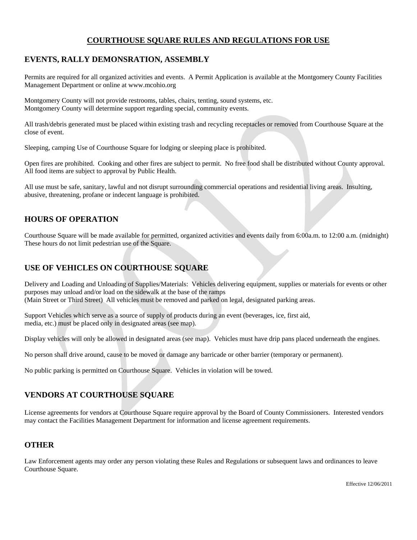### **COURTHOUSE SQUARE RULES AND REGULATIONS FOR USE**

#### **EVENTS, RALLY DEMONSRATION, ASSEMBLY**

Permits are required for all organized activities and events. A Permit Application is available at the Montgomery County Facilities Management Department or online at www.mcohio.org

Montgomery County will not provide restrooms, tables, chairs, tenting, sound systems, etc. Montgomery County will determine support regarding special, community events.

All trash/debris generated must be placed within existing trash and recycling receptacles or removed from Courthouse Square at the close of event.

Sleeping, camping Use of Courthouse Square for lodging or sleeping place is prohibited.

Open fires are prohibited. Cooking and other fires are subject to permit. No free food shall be distributed without County approval. All food items are subject to approval by Public Health.

All use must be safe, sanitary, lawful and not disrupt surrounding commercial operations and residential living areas. Insulting, abusive, threatening, profane or indecent language is prohibited.

## **HOURS OF OPERATION**

Courthouse Square will be made available for permitted, organized activities and events daily from 6:00a.m. to 12:00 a.m. (midnight) These hours do not limit pedestrian use of the Square.

## **USE OF VEHICLES ON COURTHOUSE SQUARE**

Delivery and Loading and Unloading of Supplies/Materials: Vehicles delivering equipment, supplies or materials for events or other purposes may unload and/or load on the sidewalk at the base of the ramps (Main Street or Third Street) All vehicles must be removed and parked on legal, designated parking areas.

Support Vehicles which serve as a source of supply of products during an event (beverages, ice, first aid, media, etc.) must be placed only in designated areas (see map).

Display vehicles will only be allowed in designated areas (see map). Vehicles must have drip pans placed underneath the engines.

No person shall drive around, cause to be moved or damage any barricade or other barrier (temporary or permanent).

No public parking is permitted on Courthouse Square. Vehicles in violation will be towed.

# **VENDORS AT COURTHOUSE SQUARE**

License agreements for vendors at Courthouse Square require approval by the Board of County Commissioners. Interested vendors may contact the Facilities Management Department for information and license agreement requirements.

### **OTHER**

Law Enforcement agents may order any person violating these Rules and Regulations or subsequent laws and ordinances to leave Courthouse Square.